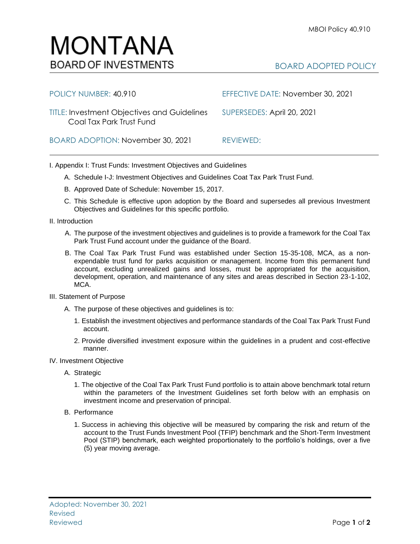

| POLICY NUMBER: 40.910                                                          | EFFECTIVE DATE: November 30, 2021 |
|--------------------------------------------------------------------------------|-----------------------------------|
| <b>TITLE: Investment Objectives and Guidelines</b><br>Coal Tax Park Trust Fund | SUPERSEDES: April 20, 2021        |
| BOARD ADOPTION: November 30, 2021                                              | REVIEWED:                         |

I. Appendix I: Trust Funds: Investment Objectives and Guidelines

- A. Schedule I-J: Investment Objectives and Guidelines Coat Tax Park Trust Fund.
- B. Approved Date of Schedule: November 15, 2017.
- C. This Schedule is effective upon adoption by the Board and supersedes all previous Investment Objectives and Guidelines for this specific portfolio*.*
- II. Introduction
	- A. The purpose of the investment objectives and guidelines is to provide a framework for the Coal Tax Park Trust Fund account under the guidance of the Board.
	- B. The Coal Tax Park Trust Fund was established under Section 15-35-108, MCA, as a nonexpendable trust fund for parks acquisition or management. Income from this permanent fund account, excluding unrealized gains and losses, must be appropriated for the acquisition, development, operation, and maintenance of any sites and areas described in Section 23-1-102, MCA.
- III. Statement of Purpose
	- A. The purpose of these objectives and guidelines is to:
		- 1. Establish the investment objectives and performance standards of the Coal Tax Park Trust Fund account.
		- 2. Provide diversified investment exposure within the guidelines in a prudent and cost-effective manner.
- IV. Investment Objective
	- A. Strategic
		- 1. The objective of the Coal Tax Park Trust Fund portfolio is to attain above benchmark total return within the parameters of the Investment Guidelines set forth below with an emphasis on investment income and preservation of principal.
	- B. Performance
		- 1. Success in achieving this objective will be measured by comparing the risk and return of the account to the Trust Funds Investment Pool (TFIP) benchmark and the Short-Term Investment Pool (STIP) benchmark, each weighted proportionately to the portfolio's holdings, over a five (5) year moving average.